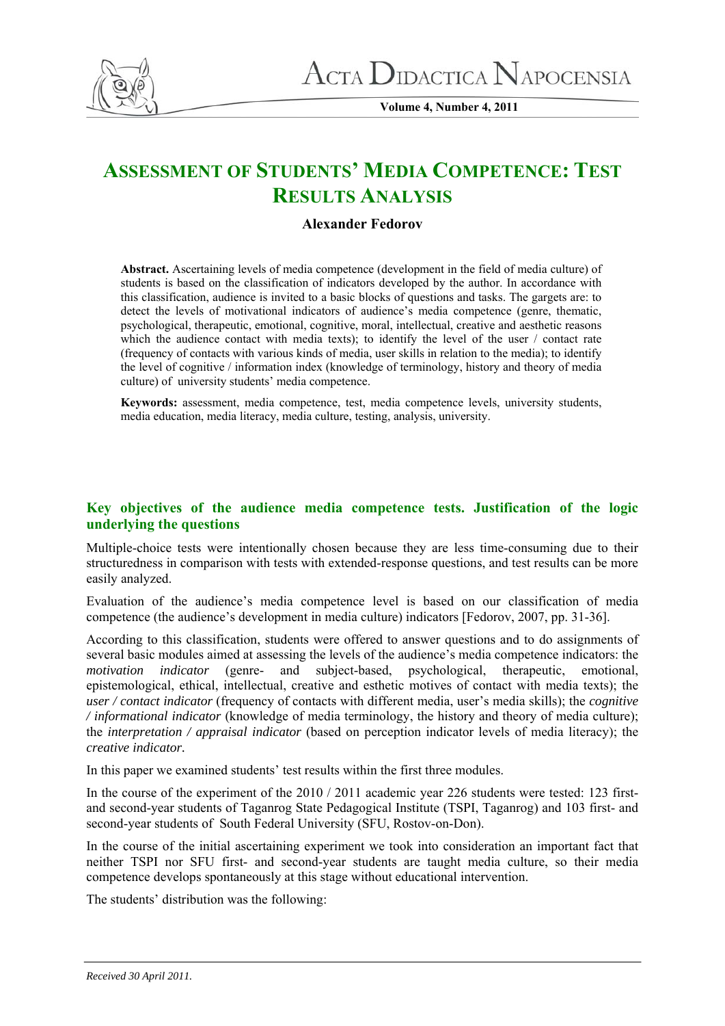

**Volume 4, Number 4, 2011** 

# **ASSESSMENT OF STUDENTS' MEDIA COMPETENCE: TEST RESULTS ANALYSIS**

# **Alexander Fedorov**

**Abstract.** Ascertaining levels of media competence (development in the field of media culture) of students is based on the classification of indicators developed by the author. In accordance with this classification, audience is invited to a basic blocks of questions and tasks. The gargets are: to detect the levels of motivational indicators of audience's media competence (genre, thematic, psychological, therapeutic, emotional, cognitive, moral, intellectual, creative and aesthetic reasons which the audience contact with media texts); to identify the level of the user / contact rate (frequency of contacts with various kinds of media, user skills in relation to the media); to identify the level of cognitive / information index (knowledge of terminology, history and theory of media culture) of university students' media competence.

**Keywords:** assessment, media competence, test, media competence levels, university students, media education, media literacy, media culture, testing, analysis, university.

# **Key objectives of the audience media competence tests. Justification of the logic underlying the questions**

Multiple-choice tests were intentionally chosen because they are less time-consuming due to their structuredness in comparison with tests with extended-response questions, and test results can be more easily analyzed.

Evaluation of the audience's media competence level is based on our classification of media competence (the audience's development in media culture) indicators [Fedorov, 2007, pp. 31-36].

According to this classification, students were offered to answer questions and to do assignments of several basic modules aimed at assessing the levels of the audience's media competence indicators: the *motivation indicator* (genre- and subject-based, psychological, therapeutic, emotional, epistemological, ethical, intellectual, creative and esthetic motives of contact with media texts); the *user / contact indicator* (frequency of contacts with different media, user's media skills); the *cognitive / informational indicator* (knowledge of media terminology, the history and theory of media culture); the *interpretation / appraisal indicator* (based on perception indicator levels of media literacy); the *creative indicator.* 

In this paper we examined students' test results within the first three modules.

In the course of the experiment of the 2010 / 2011 academic year 226 students were tested: 123 firstand second-year students of Taganrog State Pedagogical Institute (TSPI, Taganrog) and 103 first- and second-year students of South Federal University (SFU, Rostov-on-Don).

In the course of the initial ascertaining experiment we took into consideration an important fact that neither TSPI nor SFU first- and second-year students are taught media culture, so their media competence develops spontaneously at this stage without educational intervention.

The students' distribution was the following: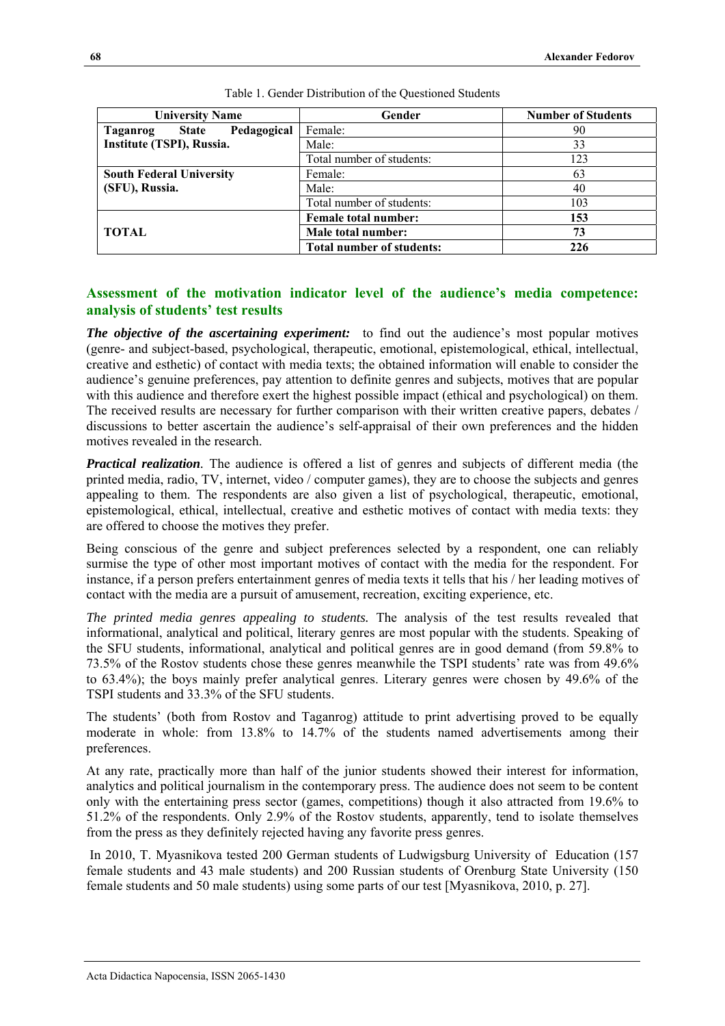| <b>University Name</b>                  | Gender                      | <b>Number of Students</b> |  |  |
|-----------------------------------------|-----------------------------|---------------------------|--|--|
| Pedagogical<br><b>State</b><br>Taganrog | Female:                     | 90                        |  |  |
| Institute (TSPI), Russia.               | Male:                       | 33                        |  |  |
|                                         | Total number of students:   | 123                       |  |  |
| <b>South Federal University</b>         | Female:                     | 63                        |  |  |
| (SFU), Russia.                          | Male:                       | 40                        |  |  |
|                                         | Total number of students:   | 103                       |  |  |
|                                         | <b>Female total number:</b> | 153                       |  |  |
| <b>TOTAL</b>                            | Male total number:          | 73                        |  |  |
|                                         | Total number of students:   | 226                       |  |  |

| Table 1. Gender Distribution of the Questioned Students |  |
|---------------------------------------------------------|--|
|---------------------------------------------------------|--|

# **Assessment of the motivation indicator level of the audience's media competence: analysis of students' test results**

*The objective of the ascertaining experiment:* to find out the audience's most popular motives (genre- and subject-based, psychological, therapeutic, emotional, epistemological, ethical, intellectual, creative and esthetic) of contact with media texts; the obtained information will enable to consider the audience's genuine preferences, pay attention to definite genres and subjects, motives that are popular with this audience and therefore exert the highest possible impact (ethical and psychological) on them. The received results are necessary for further comparison with their written creative papers, debates / discussions to better ascertain the audience's self-appraisal of their own preferences and the hidden motives revealed in the research.

*Practical realization.* The audience is offered a list of genres and subjects of different media (the printed media, radio, TV, internet, video / computer games), they are to choose the subjects and genres appealing to them. The respondents are also given a list of psychological, therapeutic, emotional, epistemological, ethical, intellectual, creative and esthetic motives of contact with media texts: they are offered to choose the motives they prefer.

Being conscious of the genre and subject preferences selected by a respondent, one can reliably surmise the type of other most important motives of contact with the media for the respondent. For instance, if a person prefers entertainment genres of media texts it tells that his / her leading motives of contact with the media are a pursuit of amusement, recreation, exciting experience, etc.

*The printed media genres appealing to students.* The analysis of the test results revealed that informational, analytical and political, literary genres are most popular with the students. Speaking of the SFU students, informational, analytical and political genres are in good demand (from 59.8% to 73.5% of the Rostov students chose these genres meanwhile the TSPI students' rate was from 49.6% to 63.4%); the boys mainly prefer analytical genres. Literary genres were chosen by 49.6% of the TSPI students and 33.3% of the SFU students.

The students' (both from Rostov and Taganrog) attitude to print advertising proved to be equally moderate in whole: from 13.8% to 14.7% of the students named advertisements among their preferences.

At any rate, practically more than half of the junior students showed their interest for information, analytics and political journalism in the contemporary press. The audience does not seem to be content only with the entertaining press sector (games, competitions) though it also attracted from 19.6% to 51.2% of the respondents. Only 2.9% of the Rostov students, apparently, tend to isolate themselves from the press as they definitely rejected having any favorite press genres.

In 2010, T. Myasnikova tested 200 German students of Ludwigsburg University of Education (157 female students and 43 male students) and 200 Russian students of Orenburg State University (150 female students and 50 male students) using some parts of our test [Myasnikova, 2010, p. 27].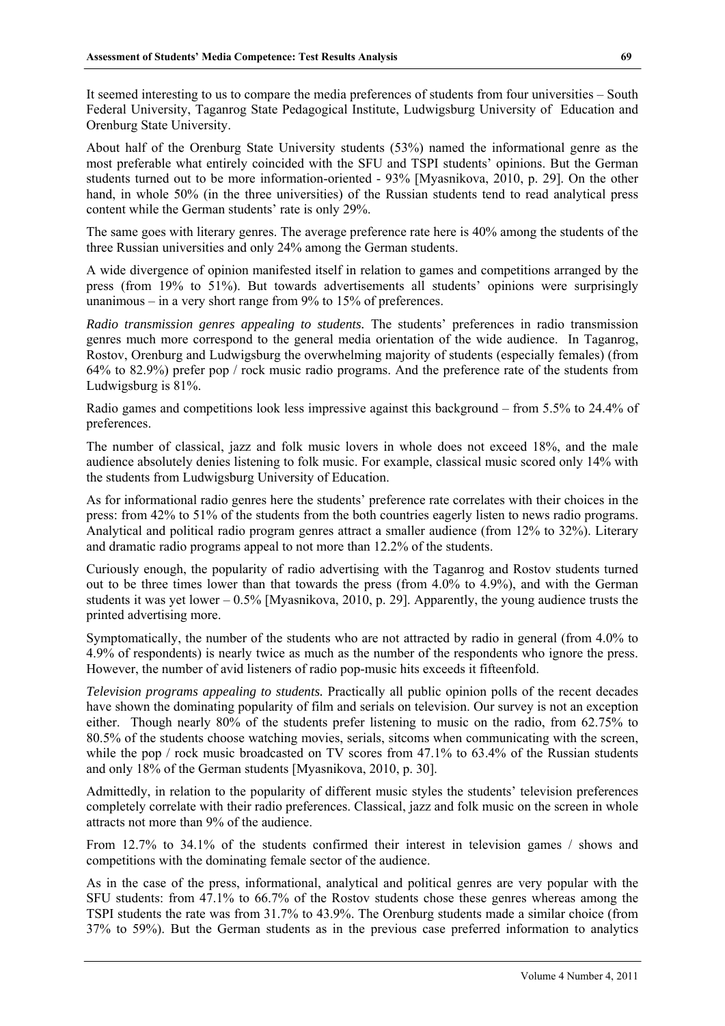It seemed interesting to us to compare the media preferences of students from four universities – South Federal University, Taganrog State Pedagogical Institute, Ludwigsburg University of Education and Orenburg State University.

About half of the Orenburg State University students (53%) named the informational genre as the most preferable what entirely coincided with the SFU and TSPI students' opinions. But the German students turned out to be more information-oriented - 93% [Myasnikova, 2010, p. 29]. On the other hand, in whole 50% (in the three universities) of the Russian students tend to read analytical press content while the German students' rate is only 29%.

The same goes with literary genres. The average preference rate here is 40% among the students of the three Russian universities and only 24% among the German students.

A wide divergence of opinion manifested itself in relation to games and competitions arranged by the press (from 19% to 51%). But towards advertisements all students' opinions were surprisingly unanimous – in a very short range from 9% to 15% of preferences.

*Radio transmission genres appealing to students.* The students' preferences in radio transmission genres much more correspond to the general media orientation of the wide audience. In Taganrog, Rostov, Orenburg and Ludwigsburg the overwhelming majority of students (especially females) (from 64% to 82.9%) prefer pop / rock music radio programs. And the preference rate of the students from Ludwigsburg is 81%.

Radio games and competitions look less impressive against this background – from 5.5% to 24.4% of preferences.

The number of classical, jazz and folk music lovers in whole does not exceed 18%, and the male audience absolutely denies listening to folk music. For example, classical music scored only 14% with the students from Ludwigsburg University of Education.

As for informational radio genres here the students' preference rate correlates with their choices in the press: from 42% to 51% of the students from the both countries eagerly listen to news radio programs. Analytical and political radio program genres attract a smaller audience (from 12% to 32%). Literary and dramatic radio programs appeal to not more than 12.2% of the students.

Curiously enough, the popularity of radio advertising with the Taganrog and Rostov students turned out to be three times lower than that towards the press (from 4.0% to 4.9%), and with the German students it was yet lower  $-0.5\%$  [Myasnikova, 2010, p. 29]. Apparently, the young audience trusts the printed advertising more.

Symptomatically, the number of the students who are not attracted by radio in general (from 4.0% to 4.9% of respondents) is nearly twice as much as the number of the respondents who ignore the press. However, the number of avid listeners of radio pop-music hits exceeds it fifteenfold.

*Television programs appealing to students.* Practically all public opinion polls of the recent decades have shown the dominating popularity of film and serials on television. Our survey is not an exception either. Though nearly 80% of the students prefer listening to music on the radio, from 62.75% to 80.5% of the students choose watching movies, serials, sitcoms when communicating with the screen, while the pop / rock music broadcasted on TV scores from 47.1% to 63.4% of the Russian students and only 18% of the German students [Myasnikova, 2010, p. 30].

Admittedly, in relation to the popularity of different music styles the students' television preferences completely correlate with their radio preferences. Classical, jazz and folk music on the screen in whole attracts not more than 9% of the audience.

From 12.7% to 34.1% of the students confirmed their interest in television games / shows and competitions with the dominating female sector of the audience.

As in the case of the press, informational, analytical and political genres are very popular with the SFU students: from 47.1% to 66.7% of the Rostov students chose these genres whereas among the TSPI students the rate was from 31.7% to 43.9%. The Orenburg students made a similar choice (from 37% to 59%). But the German students as in the previous case preferred information to analytics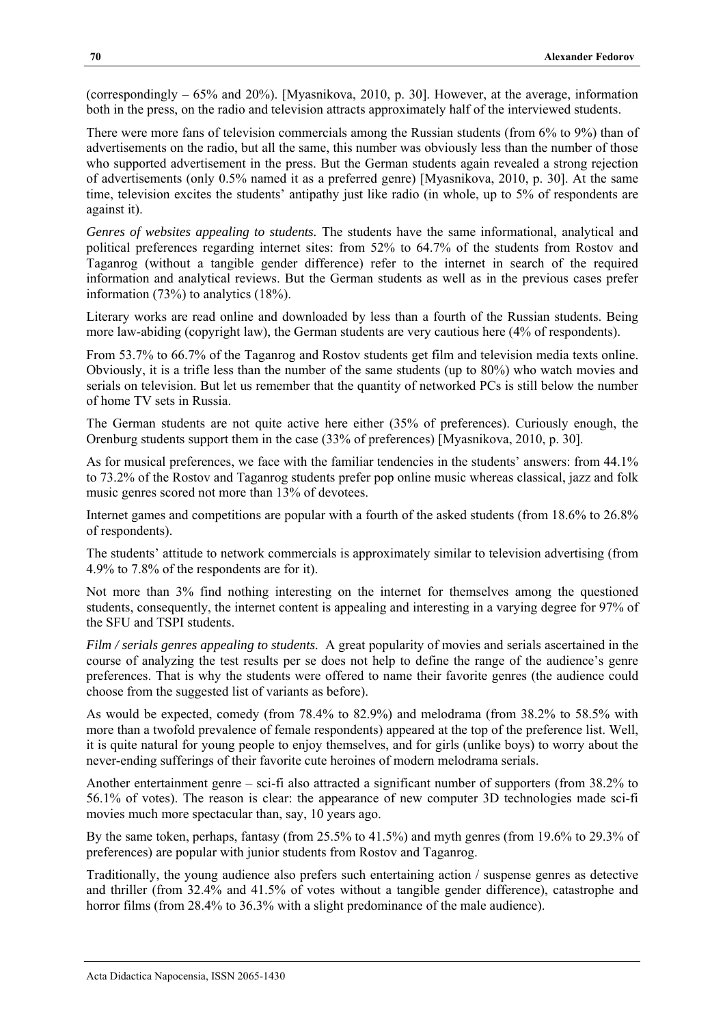(correspondingly – 65% and 20%). [Myasnikova, 2010, p. 30]. However, at the average, information both in the press, on the radio and television attracts approximately half of the interviewed students.

There were more fans of television commercials among the Russian students (from 6% to 9%) than of advertisements on the radio, but all the same, this number was obviously less than the number of those who supported advertisement in the press. But the German students again revealed a strong rejection of advertisements (only 0.5% named it as a preferred genre) [Myasnikova, 2010, p. 30]. At the same time, television excites the students' antipathy just like radio (in whole, up to 5% of respondents are against it).

*Genres of websites appealing to students.* The students have the same informational, analytical and political preferences regarding internet sites: from 52% to 64.7% of the students from Rostov and Taganrog (without a tangible gender difference) refer to the internet in search of the required information and analytical reviews. But the German students as well as in the previous cases prefer information (73%) to analytics (18%).

Literary works are read online and downloaded by less than a fourth of the Russian students. Being more law-abiding (copyright law), the German students are very cautious here (4% of respondents).

From 53.7% to 66.7% of the Taganrog and Rostov students get film and television media texts online. Obviously, it is a trifle less than the number of the same students (up to 80%) who watch movies and serials on television. But let us remember that the quantity of networked PCs is still below the number of home TV sets in Russia.

The German students are not quite active here either (35% of preferences). Curiously enough, the Orenburg students support them in the case (33% of preferences) [Myasnikova, 2010, p. 30].

As for musical preferences, we face with the familiar tendencies in the students' answers: from 44.1% to 73.2% of the Rostov and Taganrog students prefer pop online music whereas classical, jazz and folk music genres scored not more than 13% of devotees.

Internet games and competitions are popular with a fourth of the asked students (from 18.6% to 26.8% of respondents).

The students' attitude to network commercials is approximately similar to television advertising (from 4.9% to 7.8% of the respondents are for it).

Not more than 3% find nothing interesting on the internet for themselves among the questioned students, consequently, the internet content is appealing and interesting in a varying degree for 97% of the SFU and TSPI students.

*Film / serials genres appealing to students.* A great popularity of movies and serials ascertained in the course of analyzing the test results per se does not help to define the range of the audience's genre preferences. That is why the students were offered to name their favorite genres (the audience could choose from the suggested list of variants as before).

As would be expected, comedy (from 78.4% to 82.9%) and melodrama (from 38.2% to 58.5% with more than a twofold prevalence of female respondents) appeared at the top of the preference list. Well, it is quite natural for young people to enjoy themselves, and for girls (unlike boys) to worry about the never-ending sufferings of their favorite cute heroines of modern melodrama serials.

Another entertainment genre – sci-fi also attracted a significant number of supporters (from 38.2% to 56.1% of votes). The reason is clear: the appearance of new computer 3D technologies made sci-fi movies much more spectacular than, say, 10 years ago.

By the same token, perhaps, fantasy (from 25.5% to 41.5%) and myth genres (from 19.6% to 29.3% of preferences) are popular with junior students from Rostov and Taganrog.

Traditionally, the young audience also prefers such entertaining action / suspense genres as detective and thriller (from 32.4% and 41.5% of votes without a tangible gender difference), catastrophe and horror films (from 28.4% to 36.3% with a slight predominance of the male audience).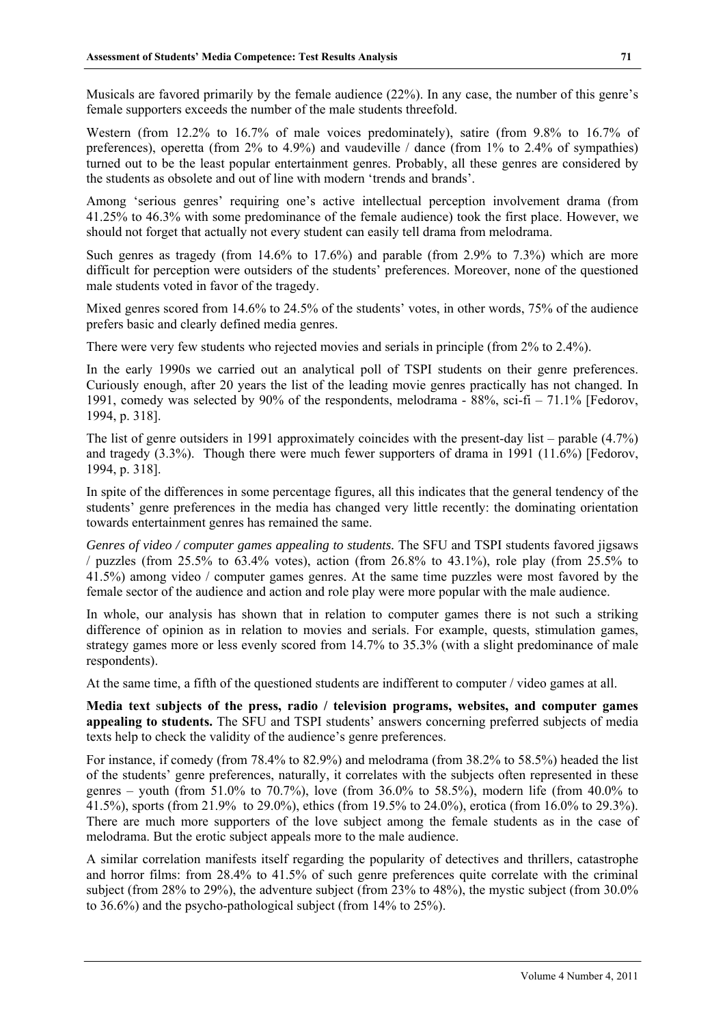Musicals are favored primarily by the female audience (22%). In any case, the number of this genre's female supporters exceeds the number of the male students threefold.

Western (from 12.2% to 16.7% of male voices predominately), satire (from 9.8% to 16.7% of preferences), operetta (from 2% to 4.9%) and vaudeville / dance (from 1% to 2.4% of sympathies) turned out to be the least popular entertainment genres. Probably, all these genres are considered by the students as obsolete and out of line with modern 'trends and brands'.

Among 'serious genres' requiring one's active intellectual perception involvement drama (from 41.25% to 46.3% with some predominance of the female audience) took the first place. However, we should not forget that actually not every student can easily tell drama from melodrama.

Such genres as tragedy (from 14.6% to 17.6%) and parable (from 2.9% to 7.3%) which are more difficult for perception were outsiders of the students' preferences. Moreover, none of the questioned male students voted in favor of the tragedy.

Mixed genres scored from 14.6% to 24.5% of the students' votes, in other words, 75% of the audience prefers basic and clearly defined media genres.

There were very few students who rejected movies and serials in principle (from 2% to 2.4%).

In the early 1990s we carried out an analytical poll of TSPI students on their genre preferences. Curiously enough, after 20 years the list of the leading movie genres practically has not changed. In 1991, comedy was selected by 90% of the respondents, melodrama -  $88\%$ , sci-fi – 71.1% [Fedorov, 1994, p. 318].

The list of genre outsiders in 1991 approximately coincides with the present-day list – parable (4.7%) and tragedy (3.3%). Though there were much fewer supporters of drama in 1991 (11.6%) [Fedorov, 1994, p. 318].

In spite of the differences in some percentage figures, all this indicates that the general tendency of the students' genre preferences in the media has changed very little recently: the dominating orientation towards entertainment genres has remained the same.

*Genres of video / computer games appealing to students.* The SFU and TSPI students favored jigsaws / puzzles (from 25.5% to 63.4% votes), action (from 26.8% to 43.1%), role play (from 25.5% to 41.5%) among video / computer games genres. At the same time puzzles were most favored by the female sector of the audience and action and role play were more popular with the male audience.

In whole, our analysis has shown that in relation to computer games there is not such a striking difference of opinion as in relation to movies and serials. For example, quests, stimulation games, strategy games more or less evenly scored from 14.7% to 35.3% (with a slight predominance of male respondents).

At the same time, a fifth of the questioned students are indifferent to computer / video games at all.

**Media text** s**ubjects of the press, radio / television programs, websites, and computer games appealing to students.** The SFU and TSPI students' answers concerning preferred subjects of media texts help to check the validity of the audience's genre preferences.

For instance, if comedy (from 78.4% to 82.9%) and melodrama (from 38.2% to 58.5%) headed the list of the students' genre preferences, naturally, it correlates with the subjects often represented in these genres – youth (from 51.0% to 70.7%), love (from 36.0% to 58.5%), modern life (from 40.0% to 41.5%), sports (from 21.9% to 29.0%), ethics (from 19.5% to 24.0%), erotica (from 16.0% to 29.3%). There are much more supporters of the love subject among the female students as in the case of melodrama. But the erotic subject appeals more to the male audience.

A similar correlation manifests itself regarding the popularity of detectives and thrillers, catastrophe and horror films: from 28.4% to 41.5% of such genre preferences quite correlate with the criminal subject (from 28% to 29%), the adventure subject (from 23% to 48%), the mystic subject (from 30.0% to 36.6%) and the psycho-pathological subject (from 14% to 25%).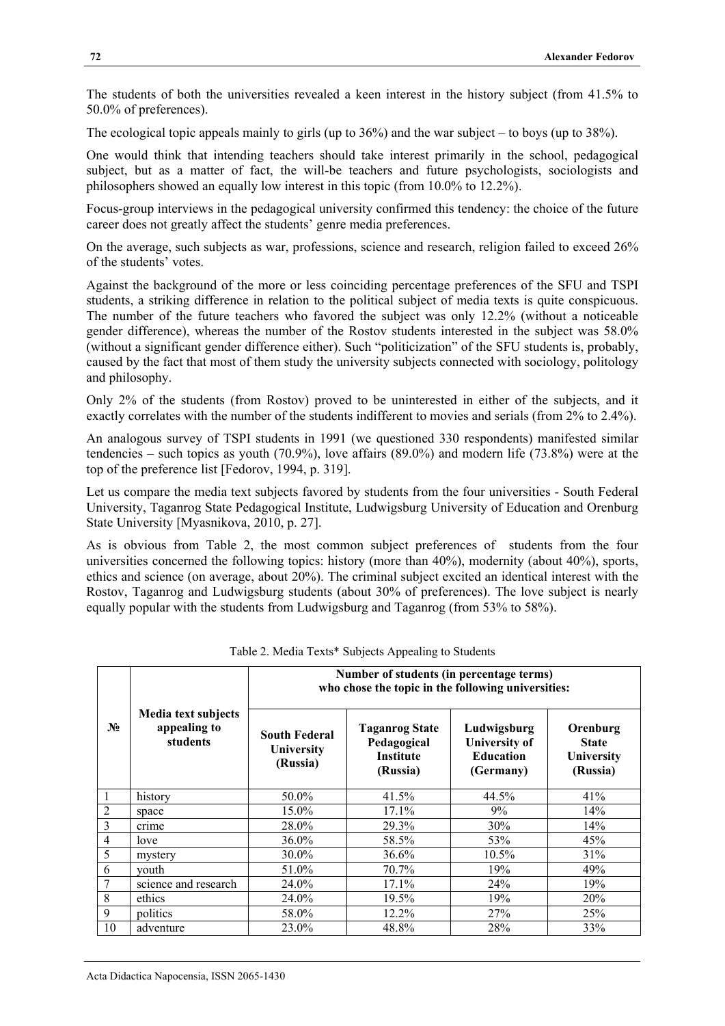The students of both the universities revealed a keen interest in the history subject (from 41.5% to 50.0% of preferences).

The ecological topic appeals mainly to girls (up to 36%) and the war subject – to boys (up to 38%).

One would think that intending teachers should take interest primarily in the school, pedagogical subject, but as a matter of fact, the will-be teachers and future psychologists, sociologists and philosophers showed an equally low interest in this topic (from 10.0% to 12.2%).

Focus-group interviews in the pedagogical university confirmed this tendency: the choice of the future career does not greatly affect the students' genre media preferences.

On the average, such subjects as war, professions, science and research, religion failed to exceed 26% of the students' votes.

Against the background of the more or less coinciding percentage preferences of the SFU and TSPI students, a striking difference in relation to the political subject of media texts is quite conspicuous. The number of the future teachers who favored the subject was only 12.2% (without a noticeable gender difference), whereas the number of the Rostov students interested in the subject was 58.0% (without a significant gender difference either). Such "politicization" of the SFU students is, probably, caused by the fact that most of them study the university subjects connected with sociology, politology and philosophy.

Only 2% of the students (from Rostov) proved to be uninterested in either of the subjects, and it exactly correlates with the number of the students indifferent to movies and serials (from 2% to 2.4%).

An analogous survey of TSPI students in 1991 (we questioned 330 respondents) manifested similar tendencies – such topics as youth  $(70.9\%)$ , love affairs  $(89.0\%)$  and modern life  $(73.8\%)$  were at the top of the preference list [Fedorov, 1994, p. 319].

Let us compare the media text subjects favored by students from the four universities - South Federal University, Taganrog State Pedagogical Institute, Ludwigsburg University of Education and Orenburg State University [Myasnikova, 2010, p. 27].

As is obvious from Table 2, the most common subject preferences of students from the four universities concerned the following topics: history (more than 40%), modernity (about 40%), sports, ethics and science (on average, about 20%). The criminal subject excited an identical interest with the Rostov, Taganrog and Ludwigsburg students (about 30% of preferences). The love subject is nearly equally popular with the students from Ludwigsburg and Taganrog (from 53% to 58%).

|                |                                                 | Number of students (in percentage terms)<br>who chose the topic in the following universities: |                                                                      |                                                                      |                                                    |  |  |  |
|----------------|-------------------------------------------------|------------------------------------------------------------------------------------------------|----------------------------------------------------------------------|----------------------------------------------------------------------|----------------------------------------------------|--|--|--|
| $N_2$          | Media text subjects<br>appealing to<br>students | <b>South Federal</b><br>University<br>(Russia)                                                 | <b>Taganrog State</b><br>Pedagogical<br><b>Institute</b><br>(Russia) | Ludwigsburg<br><b>University of</b><br><b>Education</b><br>(Germany) | Orenburg<br><b>State</b><br>University<br>(Russia) |  |  |  |
| 1              | history                                         | 50.0%                                                                                          | 41.5%                                                                | 44.5%                                                                | 41%                                                |  |  |  |
| $\overline{2}$ | space                                           | 15.0%                                                                                          | $17.1\%$                                                             | 9%                                                                   | 14%                                                |  |  |  |
| 3              | crime                                           | 28.0%                                                                                          | 29.3%                                                                | 30%                                                                  | 14%                                                |  |  |  |
| $\overline{4}$ | love                                            | 36.0%                                                                                          | 58.5%                                                                | 53%                                                                  | 45%                                                |  |  |  |
| 5              | mystery                                         | 30.0%                                                                                          | 36.6%                                                                | $10.5\%$                                                             | 31%                                                |  |  |  |
| 6              | youth                                           | 51.0%                                                                                          | 70.7%                                                                | 19%                                                                  | 49%                                                |  |  |  |
| 7              | science and research                            | 24.0%                                                                                          | 17.1%                                                                | 24%                                                                  | 19%                                                |  |  |  |
| 8              | ethics                                          | 24.0%                                                                                          | 19.5%                                                                | 19%                                                                  | 20%                                                |  |  |  |
| 9              | politics                                        | 58.0%                                                                                          | $12.2\%$                                                             | 27%                                                                  | 25%                                                |  |  |  |
| 10             | adventure                                       | 23.0%                                                                                          | 48.8%                                                                | 28%                                                                  | 33%                                                |  |  |  |

Table 2. Media Texts\* Subjects Appealing to Students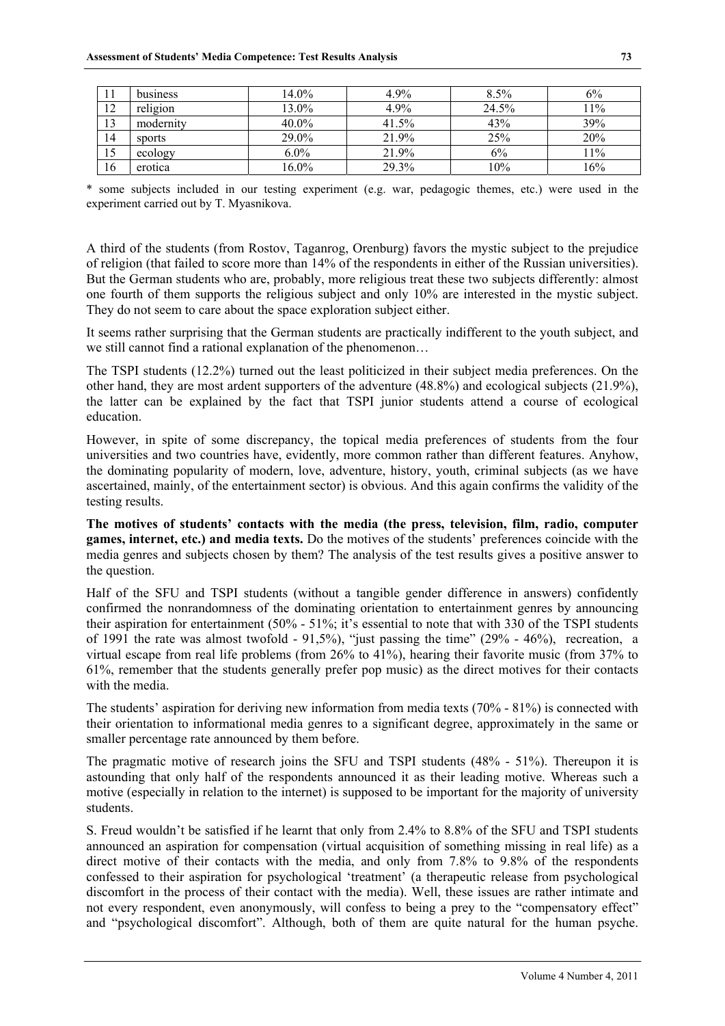| 11 | business  | 14.0%   | 4.9%  | $8.5\%$ | 6%  |
|----|-----------|---------|-------|---------|-----|
| 12 | religion  | 13.0%   | 4.9%  | 24.5%   | 11% |
| 13 | modernity | 40.0%   | 41.5% | 43%     | 39% |
| 14 | sports    | 29.0%   | 21.9% | 25%     | 20% |
| 15 | ecology   | $6.0\%$ | 21.9% | 6%      | 11% |
| 16 | erotica   | 16.0%   | 29.3% | 10%     | 16% |

\* some subjects included in our testing experiment (e.g. war, pedagogic themes, etc.) were used in the experiment carried out by T. Myasnikova.

A third of the students (from Rostov, Taganrog, Orenburg) favors the mystic subject to the prejudice of religion (that failed to score more than 14% of the respondents in either of the Russian universities). But the German students who are, probably, more religious treat these two subjects differently: almost one fourth of them supports the religious subject and only 10% are interested in the mystic subject. They do not seem to care about the space exploration subject either.

It seems rather surprising that the German students are practically indifferent to the youth subject, and we still cannot find a rational explanation of the phenomenon…

The TSPI students (12.2%) turned out the least politicized in their subject media preferences. On the other hand, they are most ardent supporters of the adventure (48.8%) and ecological subjects (21.9%), the latter can be explained by the fact that TSPI junior students attend a course of ecological education.

However, in spite of some discrepancy, the topical media preferences of students from the four universities and two countries have, evidently, more common rather than different features. Anyhow, the dominating popularity of modern, love, adventure, history, youth, criminal subjects (as we have ascertained, mainly, of the entertainment sector) is obvious. And this again confirms the validity of the testing results.

**The motives of students' contacts with the media (the press, television, film, radio, computer games, internet, etc.) and media texts.** Do the motives of the students' preferences coincide with the media genres and subjects chosen by them? The analysis of the test results gives a positive answer to the question.

Half of the SFU and TSPI students (without a tangible gender difference in answers) confidently confirmed the nonrandomness of the dominating orientation to entertainment genres by announcing their aspiration for entertainment (50% - 51%; it's essential to note that with 330 of the TSPI students of 1991 the rate was almost twofold  $-91,5\%$ ), "just passing the time" (29%  $-46\%$ ), recreation, a virtual escape from real life problems (from 26% to 41%), hearing their favorite music (from 37% to 61%, remember that the students generally prefer pop music) as the direct motives for their contacts with the media.

The students' aspiration for deriving new information from media texts (70% - 81%) is connected with their orientation to informational media genres to a significant degree, approximately in the same or smaller percentage rate announced by them before.

The pragmatic motive of research joins the SFU and TSPI students (48% - 51%). Thereupon it is astounding that only half of the respondents announced it as their leading motive. Whereas such a motive (especially in relation to the internet) is supposed to be important for the majority of university students.

S. Freud wouldn't be satisfied if he learnt that only from 2.4% to 8.8% of the SFU and TSPI students announced an aspiration for compensation (virtual acquisition of something missing in real life) as a direct motive of their contacts with the media, and only from 7.8% to 9.8% of the respondents confessed to their aspiration for psychological 'treatment' (a therapeutic release from psychological discomfort in the process of their contact with the media). Well, these issues are rather intimate and not every respondent, even anonymously, will confess to being a prey to the "compensatory effect" and "psychological discomfort". Although, both of them are quite natural for the human psyche.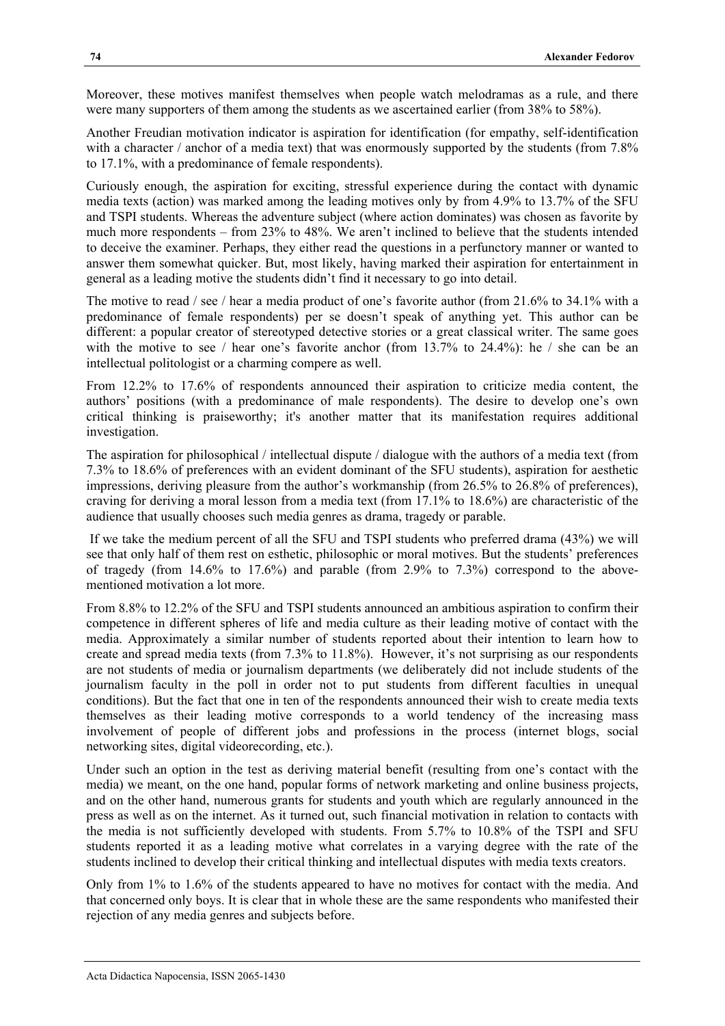Moreover, these motives manifest themselves when people watch melodramas as a rule, and there were many supporters of them among the students as we ascertained earlier (from 38% to 58%).

Another Freudian motivation indicator is aspiration for identification (for empathy, self-identification with a character / anchor of a media text) that was enormously supported by the students (from 7.8% to 17.1%, with a predominance of female respondents).

Curiously enough, the aspiration for exciting, stressful experience during the contact with dynamic media texts (action) was marked among the leading motives only by from 4.9% to 13.7% of the SFU and TSPI students. Whereas the adventure subject (where action dominates) was chosen as favorite by much more respondents – from 23% to 48%. We aren't inclined to believe that the students intended to deceive the examiner. Perhaps, they either read the questions in a perfunctory manner or wanted to answer them somewhat quicker. But, most likely, having marked their aspiration for entertainment in general as a leading motive the students didn't find it necessary to go into detail.

The motive to read / see / hear a media product of one's favorite author (from 21.6% to 34.1% with a predominance of female respondents) per se doesn't speak of anything yet. This author can be different: a popular creator of stereotyped detective stories or a great classical writer. The same goes with the motive to see / hear one's favorite anchor (from 13.7% to 24.4%): he / she can be an intellectual politologist or a charming compere as well.

From 12.2% to 17.6% of respondents announced their aspiration to criticize media content, the authors' positions (with a predominance of male respondents). The desire to develop one's own critical thinking is praiseworthy; it's another matter that its manifestation requires additional investigation.

The aspiration for philosophical / intellectual dispute / dialogue with the authors of a media text (from 7.3% to 18.6% of preferences with an evident dominant of the SFU students), aspiration for aesthetic impressions, deriving pleasure from the author's workmanship (from 26.5% to 26.8% of preferences), craving for deriving a moral lesson from a media text (from 17.1% to 18.6%) are characteristic of the audience that usually chooses such media genres as drama, tragedy or parable.

 If we take the medium percent of all the SFU and TSPI students who preferred drama (43%) we will see that only half of them rest on esthetic, philosophic or moral motives. But the students' preferences of tragedy (from  $14.6\%$  to  $17.6\%$ ) and parable (from  $2.9\%$  to  $7.3\%$ ) correspond to the abovementioned motivation a lot more.

From 8.8% to 12.2% of the SFU and TSPI students announced an ambitious aspiration to confirm their competence in different spheres of life and media culture as their leading motive of contact with the media. Approximately a similar number of students reported about their intention to learn how to create and spread media texts (from 7.3% to 11.8%). However, it's not surprising as our respondents are not students of media or journalism departments (we deliberately did not include students of the journalism faculty in the poll in order not to put students from different faculties in unequal conditions). But the fact that one in ten of the respondents announced their wish to create media texts themselves as their leading motive corresponds to a world tendency of the increasing mass involvement of people of different jobs and professions in the process (internet blogs, social networking sites, digital videorecording, etc.).

Under such an option in the test as deriving material benefit (resulting from one's contact with the media) we meant, on the one hand, popular forms of network marketing and online business projects, and on the other hand, numerous grants for students and youth which are regularly announced in the press as well as on the internet. As it turned out, such financial motivation in relation to contacts with the media is not sufficiently developed with students. From 5.7% to 10.8% of the TSPI and SFU students reported it as a leading motive what correlates in a varying degree with the rate of the students inclined to develop their critical thinking and intellectual disputes with media texts creators.

Only from 1% to 1.6% of the students appeared to have no motives for contact with the media. And that concerned only boys. It is clear that in whole these are the same respondents who manifested their rejection of any media genres and subjects before.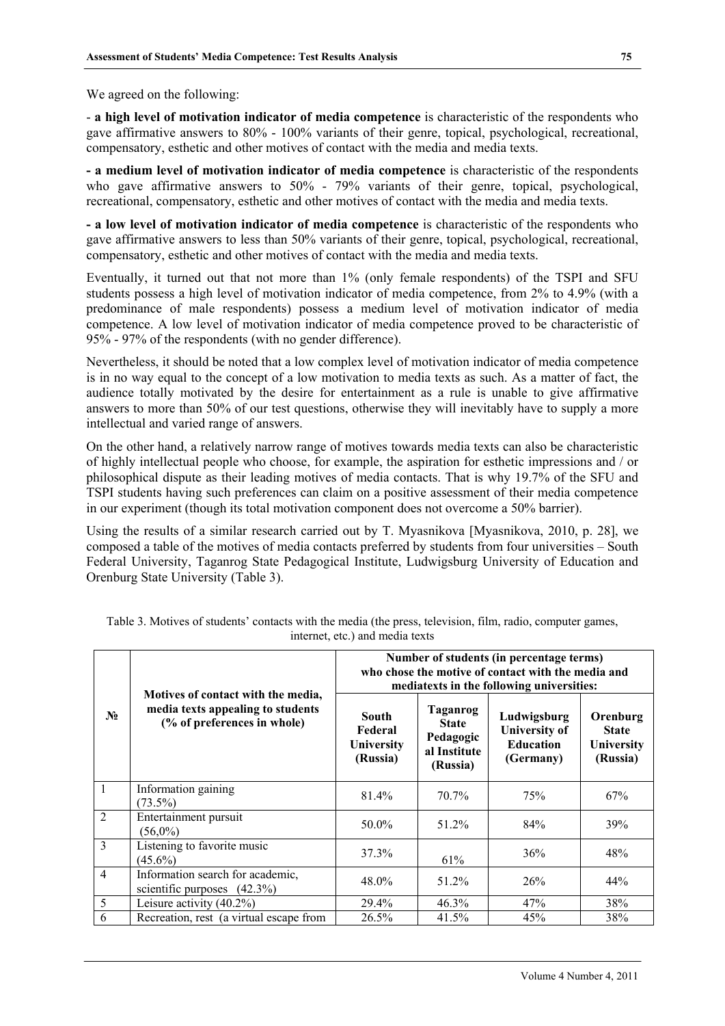We agreed on the following:

- **a high level of motivation indicator of media competence** is characteristic of the respondents who gave affirmative answers to 80% - 100% variants of their genre, topical, psychological, recreational, compensatory, esthetic and other motives of contact with the media and media texts.

**- a medium level of motivation indicator of media competence** is characteristic of the respondents who gave affirmative answers to 50% - 79% variants of their genre, topical, psychological, recreational, compensatory, esthetic and other motives of contact with the media and media texts.

**- a low level of motivation indicator of media competence** is characteristic of the respondents who gave affirmative answers to less than 50% variants of their genre, topical, psychological, recreational, compensatory, esthetic and other motives of contact with the media and media texts.

Eventually, it turned out that not more than 1% (only female respondents) of the TSPI and SFU students possess a high level of motivation indicator of media competence, from 2% to 4.9% (with a predominance of male respondents) possess a medium level of motivation indicator of media competence. A low level of motivation indicator of media competence proved to be characteristic of 95% - 97% of the respondents (with no gender difference).

Nevertheless, it should be noted that a low complex level of motivation indicator of media competence is in no way equal to the concept of a low motivation to media texts as such. As a matter of fact, the audience totally motivated by the desire for entertainment as a rule is unable to give affirmative answers to more than 50% of our test questions, otherwise they will inevitably have to supply a more intellectual and varied range of answers.

On the other hand, a relatively narrow range of motives towards media texts can also be characteristic of highly intellectual people who choose, for example, the aspiration for esthetic impressions and / or philosophical dispute as their leading motives of media contacts. That is why 19.7% of the SFU and TSPI students having such preferences can claim on a positive assessment of their media competence in our experiment (though its total motivation component does not overcome a 50% barrier).

Using the results of a similar research carried out by T. Myasnikova [Myasnikova, 2010, p. 28], we composed a table of the motives of media contacts preferred by students from four universities – South Federal University, Taganrog State Pedagogical Institute, Ludwigsburg University of Education and Orenburg State University (Table 3).

|                | Motives of contact with the media,<br>media texts appealing to students<br>(% of preferences in whole) | Number of students (in percentage terms)<br>who chose the motive of contact with the media and<br>mediatexts in the following universities: |                                                                          |                                                                      |                                                    |  |
|----------------|--------------------------------------------------------------------------------------------------------|---------------------------------------------------------------------------------------------------------------------------------------------|--------------------------------------------------------------------------|----------------------------------------------------------------------|----------------------------------------------------|--|
| $N_2$          |                                                                                                        | <b>South</b><br>Federal<br>University<br>(Russia)                                                                                           | <b>Taganrog</b><br><b>State</b><br>Pedagogic<br>al Institute<br>(Russia) | Ludwigsburg<br><b>University of</b><br><b>Education</b><br>(Germany) | Orenburg<br><b>State</b><br>University<br>(Russia) |  |
|                | Information gaining<br>$(73.5\%)$                                                                      | 81.4%                                                                                                                                       | 70.7%                                                                    | 75%                                                                  | 67%                                                |  |
| 2              | Entertainment pursuit<br>$(56,0\%)$                                                                    | 50.0%                                                                                                                                       | 51.2%                                                                    | 84%                                                                  | 39%                                                |  |
| 3              | Listening to favorite music<br>$(45.6\%)$                                                              | 37.3%                                                                                                                                       | 61%                                                                      | 36%                                                                  | 48%                                                |  |
| $\overline{4}$ | Information search for academic,<br>scientific purposes $(42.3\%)$                                     | 48.0%                                                                                                                                       | 51.2%                                                                    | 26%                                                                  | 44%                                                |  |
| 5              | Leisure activity $(40.2\%)$                                                                            | 29.4%                                                                                                                                       | $46.3\%$                                                                 | 47%                                                                  | 38%                                                |  |
| 6              | Recreation, rest (a virtual escape from                                                                | 26.5%                                                                                                                                       | 41.5%                                                                    | 45%                                                                  | 38%                                                |  |

| Table 3. Motives of students' contacts with the media (the press, television, film, radio, computer games, |  |  |  |  |  |  |  |  |
|------------------------------------------------------------------------------------------------------------|--|--|--|--|--|--|--|--|
| internet, etc.) and media texts                                                                            |  |  |  |  |  |  |  |  |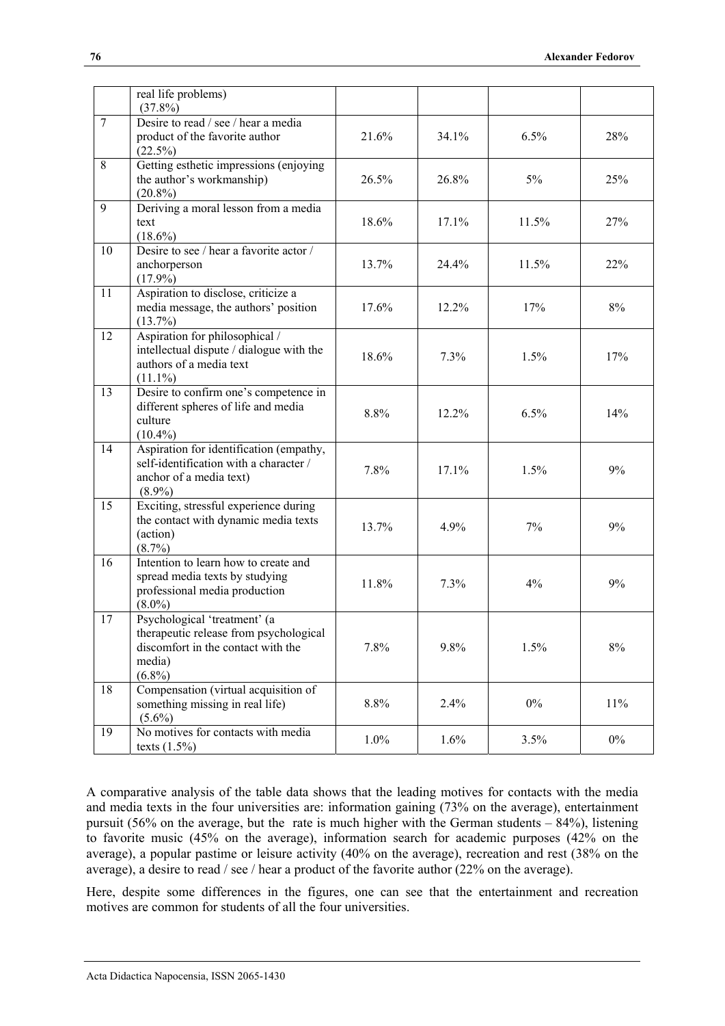|                | real life problems)<br>$(37.8\%)$                                                                                                   |         |       |       |        |
|----------------|-------------------------------------------------------------------------------------------------------------------------------------|---------|-------|-------|--------|
| $\overline{7}$ | Desire to read / see / hear a media<br>product of the favorite author<br>$(22.5\%)$                                                 | 21.6%   | 34.1% | 6.5%  | 28%    |
| 8              | Getting esthetic impressions (enjoying<br>the author's workmanship)<br>$(20.8\%)$                                                   | 26.5%   | 26.8% | 5%    | 25%    |
| 9              | Deriving a moral lesson from a media<br>text<br>$(18.6\%)$                                                                          | 18.6%   | 17.1% | 11.5% | 27%    |
| 10             | Desire to see / hear a favorite actor /<br>anchorperson<br>$(17.9\%)$                                                               | 13.7%   | 24.4% | 11.5% | 22%    |
| 11             | Aspiration to disclose, criticize a<br>media message, the authors' position<br>(13.7%)                                              | 17.6%   | 12.2% | 17%   | 8%     |
| 12             | Aspiration for philosophical /<br>intellectual dispute / dialogue with the<br>authors of a media text<br>$(11.1\%)$                 | 18.6%   | 7.3%  | 1.5%  | 17%    |
| 13             | Desire to confirm one's competence in<br>different spheres of life and media<br>culture<br>$(10.4\%)$                               | 8.8%    | 12.2% | 6.5%  | 14%    |
| 14             | Aspiration for identification (empathy,<br>self-identification with a character /<br>anchor of a media text)<br>$(8.9\%)$           | 7.8%    | 17.1% | 1.5%  | 9%     |
| 15             | Exciting, stressful experience during<br>the contact with dynamic media texts<br>(action)<br>$(8.7\%)$                              | 13.7%   | 4.9%  | 7%    | 9%     |
| 16             | Intention to learn how to create and<br>spread media texts by studying<br>professional media production<br>$(8.0\%)$                | 11.8%   | 7.3%  | 4%    | 9%     |
| 17             | Psychological 'treatment' (a<br>therapeutic release from psychological<br>discomfort in the contact with the<br>media)<br>$(6.8\%)$ | 7.8%    | 9.8%  | 1.5%  | $8\%$  |
| 18             | Compensation (virtual acquisition of<br>something missing in real life)<br>$(5.6\%)$                                                | 8.8%    | 2.4%  | $0\%$ | $11\%$ |
| 19             | No motives for contacts with media<br>texts $(1.5%)$                                                                                | $1.0\%$ | 1.6%  | 3.5%  | $0\%$  |

A comparative analysis of the table data shows that the leading motives for contacts with the media and media texts in the four universities are: information gaining (73% on the average), entertainment pursuit (56% on the average, but the rate is much higher with the German students – 84%), listening to favorite music (45% on the average), information search for academic purposes (42% on the average), a popular pastime or leisure activity (40% on the average), recreation and rest (38% on the average), a desire to read / see / hear a product of the favorite author (22% on the average).

Here, despite some differences in the figures, one can see that the entertainment and recreation motives are common for students of all the four universities.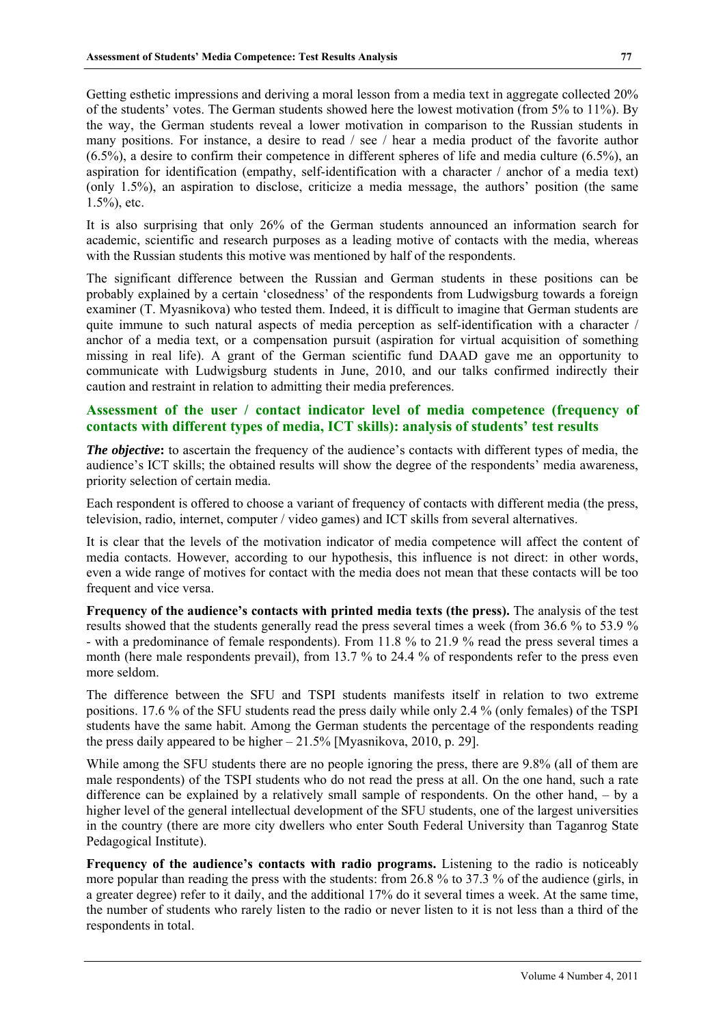Getting esthetic impressions and deriving a moral lesson from a media text in aggregate collected 20% of the students' votes. The German students showed here the lowest motivation (from 5% to 11%). By the way, the German students reveal a lower motivation in comparison to the Russian students in many positions. For instance, a desire to read / see / hear a media product of the favorite author (6.5%), a desire to confirm their competence in different spheres of life and media culture (6.5%), an aspiration for identification (empathy, self-identification with a character / anchor of a media text) (only 1.5%), an aspiration to disclose, criticize a media message, the authors' position (the same 1.5%), etc.

It is also surprising that only 26% of the German students announced an information search for academic, scientific and research purposes as a leading motive of contacts with the media, whereas with the Russian students this motive was mentioned by half of the respondents.

The significant difference between the Russian and German students in these positions can be probably explained by a certain 'closedness' of the respondents from Ludwigsburg towards a foreign examiner (T. Myasnikova) who tested them. Indeed, it is difficult to imagine that German students are quite immune to such natural aspects of media perception as self-identification with a character / anchor of a media text, or a compensation pursuit (aspiration for virtual acquisition of something missing in real life). A grant of the German scientific fund DAAD gave me an opportunity to communicate with Ludwigsburg students in June, 2010, and our talks confirmed indirectly their caution and restraint in relation to admitting their media preferences.

# **Assessment of the user / contact indicator level of media competence (frequency of contacts with different types of media, ICT skills): analysis of students' test results**

*The objective*: to ascertain the frequency of the audience's contacts with different types of media, the audience's ICT skills; the obtained results will show the degree of the respondents' media awareness, priority selection of certain media.

Each respondent is offered to choose a variant of frequency of contacts with different media (the press, television, radio, internet, computer / video games) and ICT skills from several alternatives.

It is clear that the levels of the motivation indicator of media competence will affect the content of media contacts. However, according to our hypothesis, this influence is not direct: in other words, even a wide range of motives for contact with the media does not mean that these contacts will be too frequent and vice versa.

**Frequency of the audience's contacts with printed media texts (the press).** The analysis of the test results showed that the students generally read the press several times a week (from 36.6 % to 53.9 % - with a predominance of female respondents). From 11.8 % to 21.9 % read the press several times a month (here male respondents prevail), from 13.7 % to 24.4 % of respondents refer to the press even more seldom.

The difference between the SFU and TSPI students manifests itself in relation to two extreme positions. 17.6 % of the SFU students read the press daily while only 2.4 % (only females) of the TSPI students have the same habit. Among the German students the percentage of the respondents reading the press daily appeared to be higher  $-21.5\%$  [Myasnikova, 2010, p. 29].

While among the SFU students there are no people ignoring the press, there are 9.8% (all of them are male respondents) of the TSPI students who do not read the press at all. On the one hand, such a rate difference can be explained by a relatively small sample of respondents. On the other hand, – by a higher level of the general intellectual development of the SFU students, one of the largest universities in the country (there are more city dwellers who enter South Federal University than Taganrog State Pedagogical Institute).

**Frequency of the audience's contacts with radio programs.** Listening to the radio is noticeably more popular than reading the press with the students: from 26.8 % to 37.3 % of the audience (girls, in a greater degree) refer to it daily, and the additional 17% do it several times a week. At the same time, the number of students who rarely listen to the radio or never listen to it is not less than a third of the respondents in total.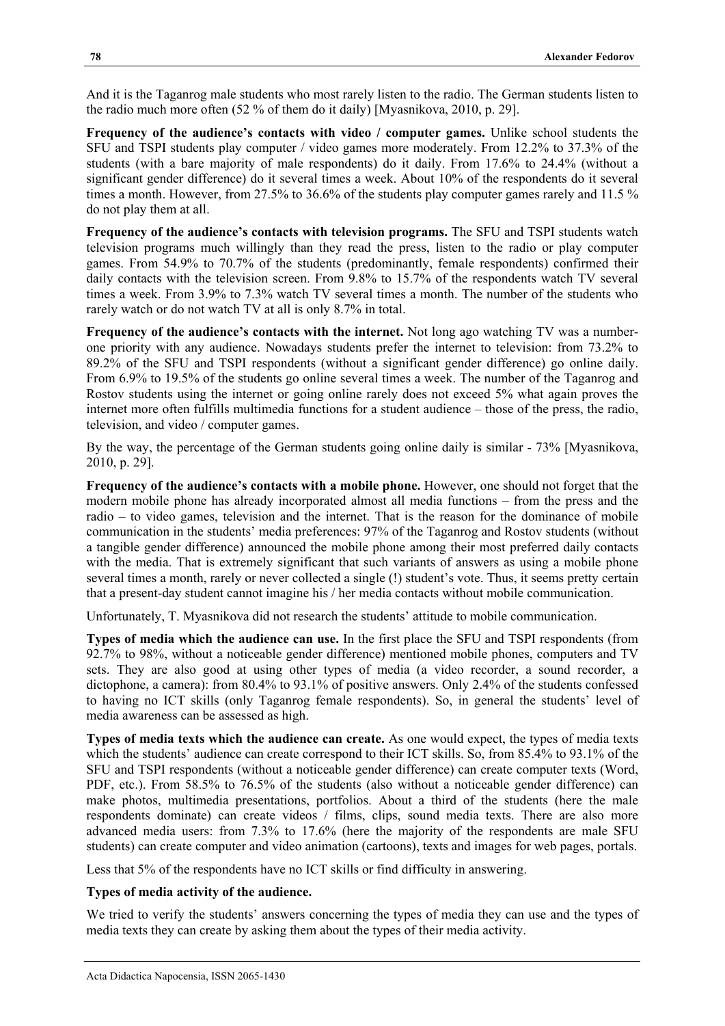And it is the Taganrog male students who most rarely listen to the radio. The German students listen to the radio much more often (52 % of them do it daily) [Myasnikova, 2010, p. 29].

**Frequency of the audience's contacts with video / computer games.** Unlike school students the SFU and TSPI students play computer / video games more moderately. From 12.2% to 37.3% of the students (with a bare majority of male respondents) do it daily. From 17.6% to 24.4% (without a significant gender difference) do it several times a week. About 10% of the respondents do it several times a month. However, from 27.5% to 36.6% of the students play computer games rarely and 11.5% do not play them at all.

**Frequency of the audience's contacts with television programs.** The SFU and TSPI students watch television programs much willingly than they read the press, listen to the radio or play computer games. From 54.9% to 70.7% of the students (predominantly, female respondents) confirmed their daily contacts with the television screen. From 9.8% to 15.7% of the respondents watch TV several times a week. From 3.9% to 7.3% watch TV several times a month. The number of the students who rarely watch or do not watch TV at all is only 8.7% in total.

**Frequency of the audience's contacts with the internet.** Not long ago watching TV was a numberone priority with any audience. Nowadays students prefer the internet to television: from 73.2% to 89.2% of the SFU and TSPI respondents (without a significant gender difference) go online daily. From 6.9% to 19.5% of the students go online several times a week. The number of the Taganrog and Rostov students using the internet or going online rarely does not exceed 5% what again proves the internet more often fulfills multimedia functions for a student audience – those of the press, the radio, television, and video / computer games.

By the way, the percentage of the German students going online daily is similar - 73% [Myasnikova, 2010, p. 29].

**Frequency of the audience's contacts with a mobile phone.** However, one should not forget that the modern mobile phone has already incorporated almost all media functions – from the press and the radio – to video games, television and the internet. That is the reason for the dominance of mobile communication in the students' media preferences: 97% of the Taganrog and Rostov students (without a tangible gender difference) announced the mobile phone among their most preferred daily contacts with the media. That is extremely significant that such variants of answers as using a mobile phone several times a month, rarely or never collected a single (!) student's vote. Thus, it seems pretty certain that a present-day student cannot imagine his / her media contacts without mobile communication.

Unfortunately, T. Myasnikova did not research the students' attitude to mobile communication.

**Types of media which the audience can use.** In the first place the SFU and TSPI respondents (from 92.7% to 98%, without a noticeable gender difference) mentioned mobile phones, computers and TV sets. They are also good at using other types of media (a video recorder, a sound recorder, a dictophone, a camera): from 80.4% to 93.1% of positive answers. Only 2.4% of the students confessed to having no ICT skills (only Taganrog female respondents). So, in general the students' level of media awareness can be assessed as high.

**Types of media texts which the audience can create.** As one would expect, the types of media texts which the students' audience can create correspond to their ICT skills. So, from 85.4% to 93.1% of the SFU and TSPI respondents (without a noticeable gender difference) can create computer texts (Word, PDF, etc.). From 58.5% to 76.5% of the students (also without a noticeable gender difference) can make photos, multimedia presentations, portfolios. About a third of the students (here the male respondents dominate) can create videos / films, clips, sound media texts. There are also more advanced media users: from 7.3% to 17.6% (here the majority of the respondents are male SFU students) can create computer and video animation (cartoons), texts and images for web pages, portals.

Less that 5% of the respondents have no ICT skills or find difficulty in answering.

## **Types of media activity of the audience.**

We tried to verify the students' answers concerning the types of media they can use and the types of media texts they can create by asking them about the types of their media activity.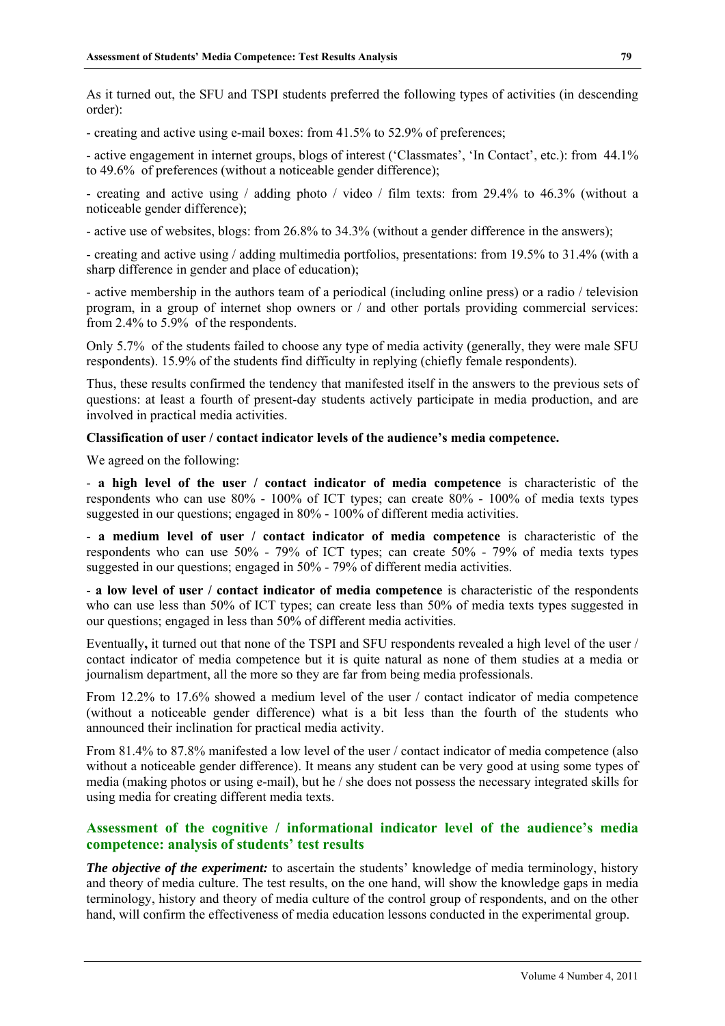As it turned out, the SFU and TSPI students preferred the following types of activities (in descending order):

- creating and active using e-mail boxes: from 41.5% to 52.9% of preferences;

- active engagement in internet groups, blogs of interest ('Classmates', 'In Contact', etc.): from 44.1% to 49.6% of preferences (without a noticeable gender difference);

- creating and active using / adding photo / video / film texts: from 29.4% to 46.3% (without a noticeable gender difference);

- active use of websites, blogs: from 26.8% to 34.3% (without a gender difference in the answers);

- creating and active using / adding multimedia portfolios, presentations: from 19.5% to 31.4% (with a sharp difference in gender and place of education);

- active membership in the authors team of a periodical (including online press) or a radio / television program, in a group of internet shop owners or / and other portals providing commercial services: from 2.4% to 5.9% of the respondents.

Only 5.7% of the students failed to choose any type of media activity (generally, they were male SFU respondents). 15.9% of the students find difficulty in replying (chiefly female respondents).

Thus, these results confirmed the tendency that manifested itself in the answers to the previous sets of questions: at least a fourth of present-day students actively participate in media production, and are involved in practical media activities.

#### **Classification of user / contact indicator levels of the audience's media competence.**

We agreed on the following:

- **a high level of the user / contact indicator of media competence** is characteristic of the respondents who can use 80% - 100% of ICT types; can create 80% - 100% of media texts types suggested in our questions; engaged in 80% - 100% of different media activities.

- **a medium level of user / contact indicator of media competence** is characteristic of the respondents who can use 50% - 79% of ICT types; can create 50% - 79% of media texts types suggested in our questions; engaged in 50% - 79% of different media activities.

- **a low level of user / contact indicator of media competence** is characteristic of the respondents who can use less than 50% of ICT types; can create less than 50% of media texts types suggested in our questions; engaged in less than 50% of different media activities.

Eventually**,** it turned out that none of the TSPI and SFU respondents revealed a high level of the user / contact indicator of media competence but it is quite natural as none of them studies at a media or journalism department, all the more so they are far from being media professionals.

From 12.2% to 17.6% showed a medium level of the user / contact indicator of media competence (without a noticeable gender difference) what is a bit less than the fourth of the students who announced their inclination for practical media activity.

From 81.4% to 87.8% manifested a low level of the user / contact indicator of media competence (also without a noticeable gender difference). It means any student can be very good at using some types of media (making photos or using e-mail), but he / she does not possess the necessary integrated skills for using media for creating different media texts.

# **Assessment of the cognitive / informational indicator level of the audience's media competence: analysis of students' test results**

*The objective of the experiment:* to ascertain the students' knowledge of media terminology, history and theory of media culture. The test results, on the one hand, will show the knowledge gaps in media terminology, history and theory of media culture of the control group of respondents, and on the other hand, will confirm the effectiveness of media education lessons conducted in the experimental group.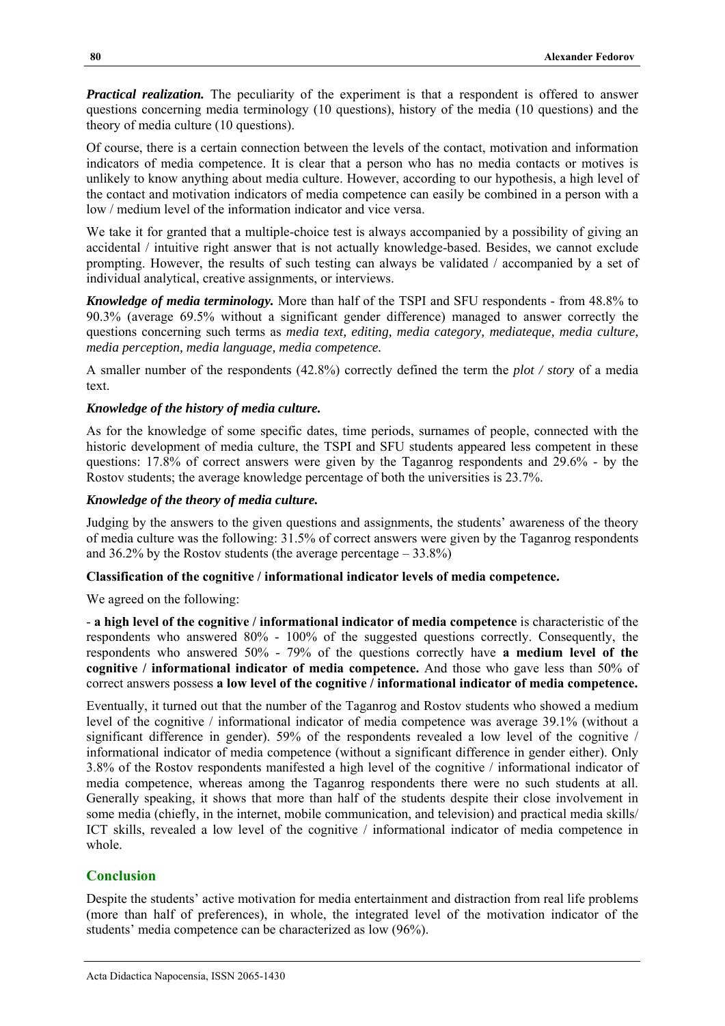*Practical realization.* The peculiarity of the experiment is that a respondent is offered to answer questions concerning media terminology (10 questions), history of the media (10 questions) and the theory of media culture (10 questions).

Of course, there is a certain connection between the levels of the contact, motivation and information indicators of media competence. It is clear that a person who has no media contacts or motives is unlikely to know anything about media culture. However, according to our hypothesis, a high level of the contact and motivation indicators of media competence can easily be combined in a person with a low / medium level of the information indicator and vice versa.

We take it for granted that a multiple-choice test is always accompanied by a possibility of giving an accidental / intuitive right answer that is not actually knowledge-based. Besides, we cannot exclude prompting. However, the results of such testing can always be validated / accompanied by a set of individual analytical, creative assignments, or interviews.

*Knowledge of media terminology.* More than half of the TSPI and SFU respondents - from 48.8% to 90.3% (average 69.5% without a significant gender difference) managed to answer correctly the questions concerning such terms as *media text, editing, media category, mediateque, media culture, media perception, media language, media competence.* 

A smaller number of the respondents (42.8%) correctly defined the term the *plot / story* of a media text.

## *Knowledge of the history of media culture.*

As for the knowledge of some specific dates, time periods, surnames of people, connected with the historic development of media culture, the TSPI and SFU students appeared less competent in these questions: 17.8% of correct answers were given by the Taganrog respondents and 29.6% - by the Rostov students; the average knowledge percentage of both the universities is 23.7%.

### *Knowledge of the theory of media culture.*

Judging by the answers to the given questions and assignments, the students' awareness of the theory of media culture was the following: 31.5% of correct answers were given by the Taganrog respondents and  $36.2\%$  by the Rostov students (the average percentage  $-33.8\%$ )

## **Classification of the cognitive / informational indicator levels of media competence.**

We agreed on the following:

- **a high level of the cognitive / informational indicator of media competence** is characteristic of the respondents who answered 80% - 100% of the suggested questions correctly. Consequently, the respondents who answered 50% - 79% of the questions correctly have **a medium level of the cognitive / informational indicator of media competence.** And those who gave less than 50% of correct answers possess **a low level of the cognitive / informational indicator of media competence.** 

Eventually, it turned out that the number of the Taganrog and Rostov students who showed a medium level of the cognitive / informational indicator of media competence was average 39.1% (without a significant difference in gender). 59% of the respondents revealed a low level of the cognitive / informational indicator of media competence (without a significant difference in gender either). Only 3.8% of the Rostov respondents manifested a high level of the cognitive / informational indicator of media competence, whereas among the Taganrog respondents there were no such students at all. Generally speaking, it shows that more than half of the students despite their close involvement in some media (chiefly, in the internet, mobile communication, and television) and practical media skills/ ICT skills, revealed a low level of the cognitive / informational indicator of media competence in whole.

## **Conclusion**

Despite the students' active motivation for media entertainment and distraction from real life problems (more than half of preferences), in whole, the integrated level of the motivation indicator of the students' media competence can be characterized as low (96%).